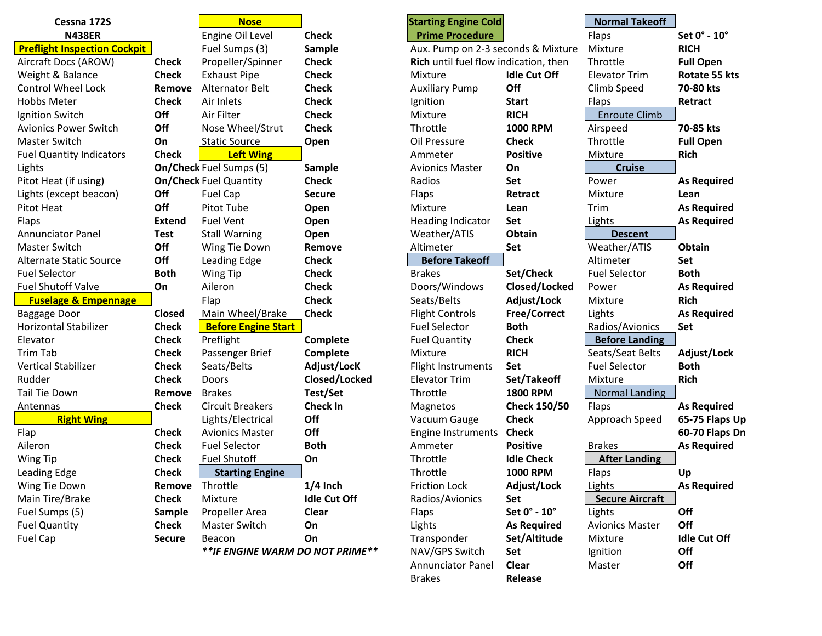| Cessna 172S                         |               | <b>Nose</b>                      |                     | <b>Starting Engine Cold</b>           |                     | <b>Normal Takeoff</b>  |                     |
|-------------------------------------|---------------|----------------------------------|---------------------|---------------------------------------|---------------------|------------------------|---------------------|
| <b>N438ER</b>                       |               | Engine Oil Level                 | <b>Check</b>        | <b>Prime Procedure</b>                |                     | Flaps                  | Set 0° - 10°        |
| <b>Preflight Inspection Cockpit</b> |               | Fuel Sumps (3)                   | Sample              | Aux. Pump on 2-3 seconds & Mixture    |                     | Mixture                | <b>RICH</b>         |
| Aircraft Docs (AROW)                | <b>Check</b>  | Propeller/Spinner                | <b>Check</b>        | Rich until fuel flow indication, then |                     | Throttle               | <b>Full Open</b>    |
| Weight & Balance                    | <b>Check</b>  | <b>Exhaust Pipe</b>              | <b>Check</b>        | Mixture                               | <b>Idle Cut Off</b> | <b>Elevator Trim</b>   | Rotate 55 kts       |
| <b>Control Wheel Lock</b>           | Remove        | <b>Alternator Belt</b>           | <b>Check</b>        | <b>Auxiliary Pump</b>                 | Off                 | Climb Speed            | 70-80 kts           |
| <b>Hobbs Meter</b>                  | <b>Check</b>  | Air Inlets                       | <b>Check</b>        | Ignition                              | <b>Start</b>        | Flaps                  | Retract             |
| Ignition Switch                     | Off           | Air Filter                       | <b>Check</b>        | Mixture                               | <b>RICH</b>         | <b>Enroute Climb</b>   |                     |
| <b>Avionics Power Switch</b>        | Off           | Nose Wheel/Strut                 | <b>Check</b>        | Throttle                              | <b>1000 RPM</b>     | Airspeed               | 70-85 kts           |
| Master Switch                       | On            | <b>Static Source</b>             | Open                | Oil Pressure                          | <b>Check</b>        | Throttle               | <b>Full Open</b>    |
| <b>Fuel Quantity Indicators</b>     | <b>Check</b>  | <b>Left Wing</b>                 |                     | Ammeter                               | <b>Positive</b>     | Mixture                | <b>Rich</b>         |
| Lights                              |               | <b>On/Check Fuel Sumps (5)</b>   | Sample              | <b>Avionics Master</b>                | On                  | <b>Cruise</b>          |                     |
| Pitot Heat (if using)               |               | <b>On/Check Fuel Quantity</b>    | <b>Check</b>        | Radios                                | Set                 | Power                  | <b>As Required</b>  |
| Lights (except beacon)              | Off           | Fuel Cap                         | <b>Secure</b>       | Flaps                                 | Retract             | Mixture                | Lean                |
| Pitot Heat                          | Off           | Pitot Tube                       | Open                | Mixture                               | Lean                | Trim                   | <b>As Required</b>  |
| Flaps                               | <b>Extend</b> | <b>Fuel Vent</b>                 | Open                | <b>Heading Indicator</b>              | <b>Set</b>          | Lights                 | <b>As Required</b>  |
| <b>Annunciator Panel</b>            | <b>Test</b>   | <b>Stall Warning</b>             | Open                | Weather/ATIS                          | Obtain              | <b>Descent</b>         |                     |
| Master Switch                       | Off           | Wing Tie Down                    | Remove              | Altimeter                             | Set                 | Weather/ATIS           | Obtain              |
| Alternate Static Source             | Off           | Leading Edge                     | <b>Check</b>        | <b>Before Takeoff</b>                 |                     | Altimeter              | Set                 |
| <b>Fuel Selector</b>                | <b>Both</b>   | Wing Tip                         | <b>Check</b>        | <b>Brakes</b>                         | Set/Check           | <b>Fuel Selector</b>   | <b>Both</b>         |
| Fuel Shutoff Valve                  | On            | Aileron                          | <b>Check</b>        | Doors/Windows                         | Closed/Locked       | Power                  | <b>As Required</b>  |
| <b>Fuselage &amp; Empennage</b>     |               | Flap                             | <b>Check</b>        | Seats/Belts                           | Adjust/Lock         | Mixture                | <b>Rich</b>         |
| Baggage Door                        | <b>Closed</b> | Main Wheel/Brake                 | <b>Check</b>        | <b>Flight Controls</b>                | Free/Correct        | Lights                 | <b>As Required</b>  |
| <b>Horizontal Stabilizer</b>        | <b>Check</b>  | <b>Before Engine Start</b>       |                     | <b>Fuel Selector</b>                  | <b>Both</b>         | Radios/Avionics        | Set                 |
| Elevator                            | <b>Check</b>  | Preflight                        | Complete            | <b>Fuel Quantity</b>                  | <b>Check</b>        | <b>Before Landing</b>  |                     |
| Trim Tab                            | <b>Check</b>  | Passenger Brief                  | Complete            | Mixture                               | <b>RICH</b>         | Seats/Seat Belts       | Adjust/Lock         |
| <b>Vertical Stabilizer</b>          | <b>Check</b>  | Seats/Belts                      | Adjust/LocK         | Flight Instruments                    | <b>Set</b>          | <b>Fuel Selector</b>   | <b>Both</b>         |
| Rudder                              | <b>Check</b>  | Doors                            | Closed/Locked       | <b>Elevator Trim</b>                  | Set/Takeoff         | Mixture                | <b>Rich</b>         |
| Tail Tie Down                       | Remove        | <b>Brakes</b>                    | Test/Set            | Throttle                              | <b>1800 RPM</b>     | <b>Normal Landing</b>  |                     |
| Antennas                            | <b>Check</b>  | <b>Circuit Breakers</b>          | <b>Check In</b>     | Magnetos                              | <b>Check 150/50</b> | Flaps                  | <b>As Required</b>  |
| <b>Right Wing</b>                   |               | Lights/Electrical                | Off                 | Vacuum Gauge                          | <b>Check</b>        | Approach Speed         | 65-75 Flaps Up      |
| Flap                                | <b>Check</b>  | <b>Avionics Master</b>           | Off                 | <b>Engine Instruments</b>             | <b>Check</b>        |                        | 60-70 Flaps Dn      |
| Aileron                             | <b>Check</b>  | <b>Fuel Selector</b>             | <b>Both</b>         | Ammeter                               | <b>Positive</b>     | <b>Brakes</b>          | <b>As Required</b>  |
| Wing Tip                            | <b>Check</b>  | <b>Fuel Shutoff</b>              | On                  | Throttle                              | <b>Idle Check</b>   | <b>After Landing</b>   |                     |
| Leading Edge                        | <b>Check</b>  | <b>Starting Engine</b>           |                     | Throttle                              | <b>1000 RPM</b>     | <b>Flaps</b>           | Up                  |
| Wing Tie Down                       | Remove        | Throttle                         | $1/4$ Inch          | <b>Friction Lock</b>                  | Adjust/Lock         | Lights                 | <b>As Required</b>  |
| Main Tire/Brake                     | <b>Check</b>  | Mixture                          | <b>Idle Cut Off</b> | Radios/Avionics                       | Set                 | <b>Secure Aircraft</b> |                     |
| Fuel Sumps (5)                      | Sample        | Propeller Area                   | Clear               | Flaps                                 | Set 0° - 10°        | Lights                 | Off                 |
| <b>Fuel Quantity</b>                | <b>Check</b>  | Master Switch                    | On                  | Lights                                | <b>As Required</b>  | <b>Avionics Master</b> | Off                 |
| Fuel Cap                            | <b>Secure</b> | Beacon                           | On                  | Transponder                           | Set/Altitude        | Mixture                | <b>Idle Cut Off</b> |
|                                     |               | ** IF ENGINE WARM DO NOT PRIME** |                     | NAV/GPS Switch                        | Set                 | Ignition               | Off                 |
|                                     |               |                                  |                     | Annunciator Panel                     | Clear               | Master                 | Off                 |
|                                     |               |                                  |                     | <b>Brakes</b>                         | Release             |                        |                     |